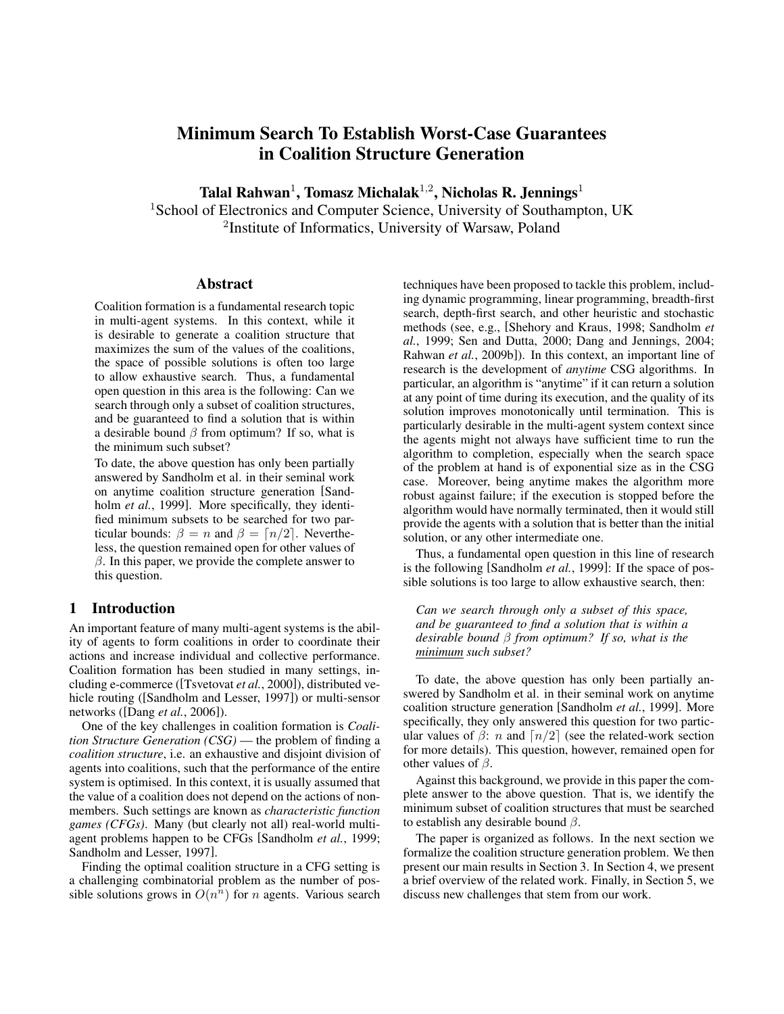# Minimum Search To Establish Worst-Case Guarantees in Coalition Structure Generation

Talal Rahwan<sup>1</sup>, Tomasz Michalak<sup>1,2</sup>, Nicholas R. Jennings<sup>1</sup>

<sup>1</sup>School of Electronics and Computer Science, University of Southampton, UK <sup>2</sup>Institute of Informatics, University of Warsaw, Poland

#### Abstract

Coalition formation is a fundamental research topic in multi-agent systems. In this context, while it is desirable to generate a coalition structure that maximizes the sum of the values of the coalitions, the space of possible solutions is often too large to allow exhaustive search. Thus, a fundamental open question in this area is the following: Can we search through only a subset of coalition structures, and be guaranteed to find a solution that is within a desirable bound  $\beta$  from optimum? If so, what is the minimum such subset?

To date, the above question has only been partially answered by Sandholm et al. in their seminal work on anytime coalition structure generation [Sandholm *et al.*, 1999]. More specifically, they identified minimum subsets to be searched for two particular bounds:  $\beta = n$  and  $\beta = \lfloor n/2 \rfloor$ . Nevertheless, the question remained open for other values of  $\beta$ . In this paper, we provide the complete answer to this question.

# 1 Introduction

An important feature of many multi-agent systems is the ability of agents to form coalitions in order to coordinate their actions and increase individual and collective performance. Coalition formation has been studied in many settings, including e-commerce ([Tsvetovat *et al.*, 2000]), distributed vehicle routing ([Sandholm and Lesser, 1997]) or multi-sensor networks ([Dang *et al.*, 2006]).

One of the key challenges in coalition formation is *Coalition Structure Generation (CSG)* — the problem of finding a *coalition structure*, i.e. an exhaustive and disjoint division of agents into coalitions, such that the performance of the entire system is optimised. In this context, it is usually assumed that the value of a coalition does not depend on the actions of nonmembers. Such settings are known as *characteristic function games (CFGs)*. Many (but clearly not all) real-world multiagent problems happen to be CFGs [Sandholm *et al.*, 1999; Sandholm and Lesser, 1997].

Finding the optimal coalition structure in a CFG setting is a challenging combinatorial problem as the number of possible solutions grows in  $O(n^n)$  for *n* agents. Various search

techniques have been proposed to tackle this problem, including dynamic programming, linear programming, breadth-first search, depth-first search, and other heuristic and stochastic methods (see, e.g., [Shehory and Kraus, 1998; Sandholm *et al.*, 1999; Sen and Dutta, 2000; Dang and Jennings, 2004; Rahwan *et al.*, 2009b]). In this context, an important line of research is the development of *anytime* CSG algorithms. In particular, an algorithm is "anytime" if it can return a solution at any point of time during its execution, and the quality of its solution improves monotonically until termination. This is particularly desirable in the multi-agent system context since the agents might not always have sufficient time to run the algorithm to completion, especially when the search space of the problem at hand is of exponential size as in the CSG case. Moreover, being anytime makes the algorithm more robust against failure; if the execution is stopped before the algorithm would have normally terminated, then it would still provide the agents with a solution that is better than the initial solution, or any other intermediate one.

Thus, a fundamental open question in this line of research is the following [Sandholm *et al.*, 1999]: If the space of possible solutions is too large to allow exhaustive search, then:

*Can we search through only a subset of this space, and be guaranteed to find a solution that is within a desirable bound* β *from optimum? If so, what is the minimum such subset?*

To date, the above question has only been partially answered by Sandholm et al. in their seminal work on anytime coalition structure generation [Sandholm *et al.*, 1999]. More specifically, they only answered this question for two particular values of  $\beta$ : n and  $\lceil n/2 \rceil$  (see the related-work section for more details). This question, however, remained open for other values of  $\beta$ .

Against this background, we provide in this paper the complete answer to the above question. That is, we identify the minimum subset of coalition structures that must be searched to establish any desirable bound  $\beta$ .

The paper is organized as follows. In the next section we formalize the coalition structure generation problem. We then present our main results in Section 3. In Section 4, we present a brief overview of the related work. Finally, in Section 5, we discuss new challenges that stem from our work.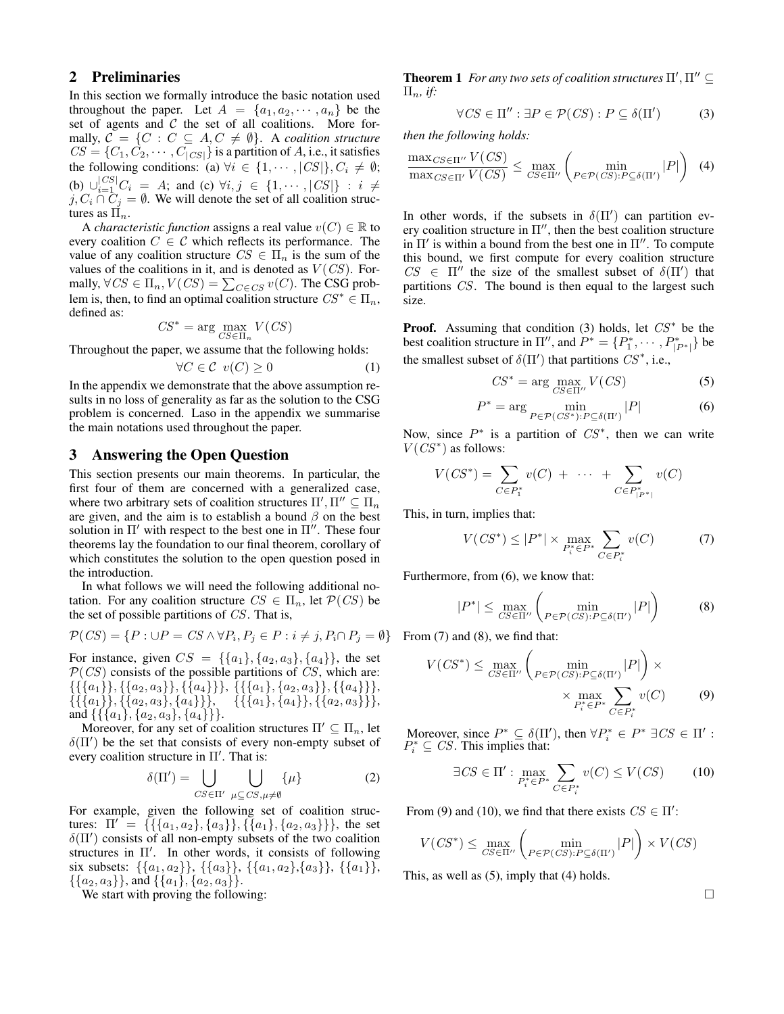# 2 Preliminaries

In this section we formally introduce the basic notation used throughout the paper. Let  $A = \{a_1, a_2, \dots, a_n\}$  be the set of agents and  $C$  the set of all coalitions. More formally,  $C = \{C : C \subseteq A, C \neq \emptyset\}$ . A *coalition structure*  $CS = \{C_1, C_2, \cdots, C_{|CS|}\}\$ is a partition of A, i.e., it satisfies the following conditions: (a)  $\forall i \in \{1, \dots, |CS|\}, C_i \neq \emptyset;$ (b)  $\bigcup_{i=1}^{|CS|} C_i = A$ ; and (c)  $\forall i, j \in \{1, \cdots, |CS|\} : i \neq j$  $j, C_i \cap C_j = \emptyset$ . We will denote the set of all coalition structures as  $\Pi_n$ .

A *characteristic function* assigns a real value  $v(C) \in \mathbb{R}$  to every coalition  $C \in \mathcal{C}$  which reflects its performance. The value of any coalition structure  $CS \in \Pi_n$  is the sum of the values of the coalitions in it, and is denoted as  $V(CS)$ . Formally,  $\forall CS \in \Pi_n, V(CS) = \sum_{C \in CS} v(C)$ . The CSG problem is, then, to find an optimal coalition structure  $CS^* \in \Pi_n$ , defined as:

$$
CS^* = \arg\max_{CS \in \Pi_n} V(CS)
$$

Throughout the paper, we assume that the following holds:

$$
\forall C \in \mathcal{C} \ \ v(C) \ge 0 \tag{1}
$$

In the appendix we demonstrate that the above assumption results in no loss of generality as far as the solution to the CSG problem is concerned. Laso in the appendix we summarise the main notations used throughout the paper.

#### 3 Answering the Open Question

This section presents our main theorems. In particular, the first four of them are concerned with a generalized case, where two arbitrary sets of coalition structures  $\Pi', \Pi'' \subseteq \Pi_n$ are given, and the aim is to establish a bound  $\beta$  on the best solution in  $\Pi'$  with respect to the best one in  $\Pi''$ . These four theorems lay the foundation to our final theorem, corollary of which constitutes the solution to the open question posed in the introduction.

In what follows we will need the following additional notation. For any coalition structure  $CS \in \Pi_n$ , let  $\mathcal{P}(CS)$  be the set of possible partitions of CS. That is,

$$
\mathcal{P}(CS) = \{ P : \cup P = CS \land \forall P_i, P_j \in P : i \neq j, P_i \cap P_j = \emptyset \}
$$

For instance, given  $CS = \{\{a_1\}, \{a_2, a_3\}, \{a_4\}\}\$ , the set  $\mathcal{P}(CS)$  consists of the possible partitions of CS, which are:  ${({a_1}), ({a_2}, a_3), ({a_4})}, {({a_1}, a_2, a_3)}, ({a_4})},$  $\{\{\{a_1\}, \{a_2, a_3\}, \{a_4\}\}\}, \{\{a_1\}, \{a_4\}\}, \{\{a_2, a_3\}\}\},$ and  $\{\{\{a_1\}, \{a_2, a_3\}, \{a_4\}\}\}.$ 

Moreover, for any set of coalition structures  $\Pi' \subseteq \Pi_n$ , let  $\delta(\Pi')$  be the set that consists of every non-empty subset of every coalition structure in  $\Pi'$ . That is:

$$
\delta(\Pi') = \bigcup_{CS \in \Pi'} \bigcup_{\mu \subseteq CS, \mu \neq \emptyset} \{\mu\}
$$
 (2)

For example, given the following set of coalition structures:  $\Pi' = \{ \{ \{a_1, a_2\}, \{a_3\} \}, \{ \{a_1\}, \{a_2, a_3\} \} \},\$  the set  $\delta(\Pi')$  consists of all non-empty subsets of the two coalition structures in  $\Pi'$ . In other words, it consists of following six subsets:  $\{\{a_1, a_2\}\}\$ ,  $\{\{a_3\}\}\$ ,  $\{\{a_1, a_2\}\}\$ ,  $\{\{a_1\}\}\$ ,  $\{\{a_2,a_3\}\}\$ , and  $\{\{a_1\},\{a_2,a_3\}\}\$ .

We start with proving the following:

**Theorem 1** For any two sets of coalition structures  $\Pi', \Pi'' \subseteq$  $\Pi_n$ *, if:* 

$$
\forall CS \in \Pi'': \exists P \in \mathcal{P}(CS) : P \subseteq \delta(\Pi') \tag{3}
$$

*then the following holds:*

$$
\frac{\max_{CS \in \Pi''} V(CS)}{\max_{CS \in \Pi'} V(CS)} \le \max_{CS \in \Pi''} \left( \min_{P \in \mathcal{P}(CS): P \subseteq \delta(\Pi')} |P| \right) \tag{4}
$$

In other words, if the subsets in  $\delta(\Pi')$  can partition every coalition structure in  $\Pi''$ , then the best coalition structure in  $\Pi'$  is within a bound from the best one in  $\Pi''$ . To compute this bound, we first compute for every coalition structure  $CS \in \Pi''$  the size of the smallest subset of  $\delta(\Pi')$  that partitions CS. The bound is then equal to the largest such size.

**Proof.** Assuming that condition (3) holds, let  $CS^*$  be the best coalition structure in  $\Pi''$ , and  $P^* = \{P_1^*, \cdots, P_{|P^*|}^*\}$  be the smallest subset of  $\delta(\Pi')$  that partitions  $CS^*$ , i.e.,

$$
CS^* = \arg\max_{CS \in \Pi''} V(CS)
$$
 (5)

$$
P^* = \arg\min_{P \in \mathcal{P}(CS^*): P \subseteq \delta(\Pi')} |P| \tag{6}
$$

Now, since  $P^*$  is a partition of  $CS^*$ , then we can write  $V(CS^*)$  as follows:

$$
V(CS^{*}) = \sum_{C \in P_{1}^{*}} v(C) + \cdots + \sum_{C \in P_{|P^{*}|}^{*}} v(C)
$$

This, in turn, implies that:

$$
V(CS^*) \le |P^*| \times \max_{P_i^* \in P^*} \sum_{C \in P_i^*} v(C) \tag{7}
$$

Furthermore, from (6), we know that:

$$
|P^*| \le \max_{CS \in \Pi''} \left( \min_{P \in \mathcal{P}(CS): P \subseteq \delta(\Pi')} |P| \right) \tag{8}
$$

From  $(7)$  and  $(8)$ , we find that:

$$
V(CS^*) \le \max_{CS \in \Pi''} \left( \min_{P \in \mathcal{P}(CS): P \subseteq \delta(\Pi')} |P| \right) \times \times \max_{P_i^* \in P^*} \sum_{C \in P_i^*} v(C) \tag{9}
$$

Moreover, since  $P^* \subseteq \delta(\Pi')$ , then  $\forall P^*_i \in P^* \exists CS \in \Pi'$ :  $P_i^* \subseteq CS$ . This implies that:

$$
\exists CS \in \Pi': \max_{P_i^* \in P^*} \sum_{C \in P_i^*} v(C) \le V(CS) \tag{10}
$$

From (9) and (10), we find that there exists  $CS \in \Pi'$ :

$$
V(CS^*) \le \max_{CS \in \Pi''} \left( \min_{P \in \mathcal{P}(CS): P \subseteq \delta(\Pi')} |P| \right) \times V(CS)
$$

This, as well as (5), imply that (4) holds.

П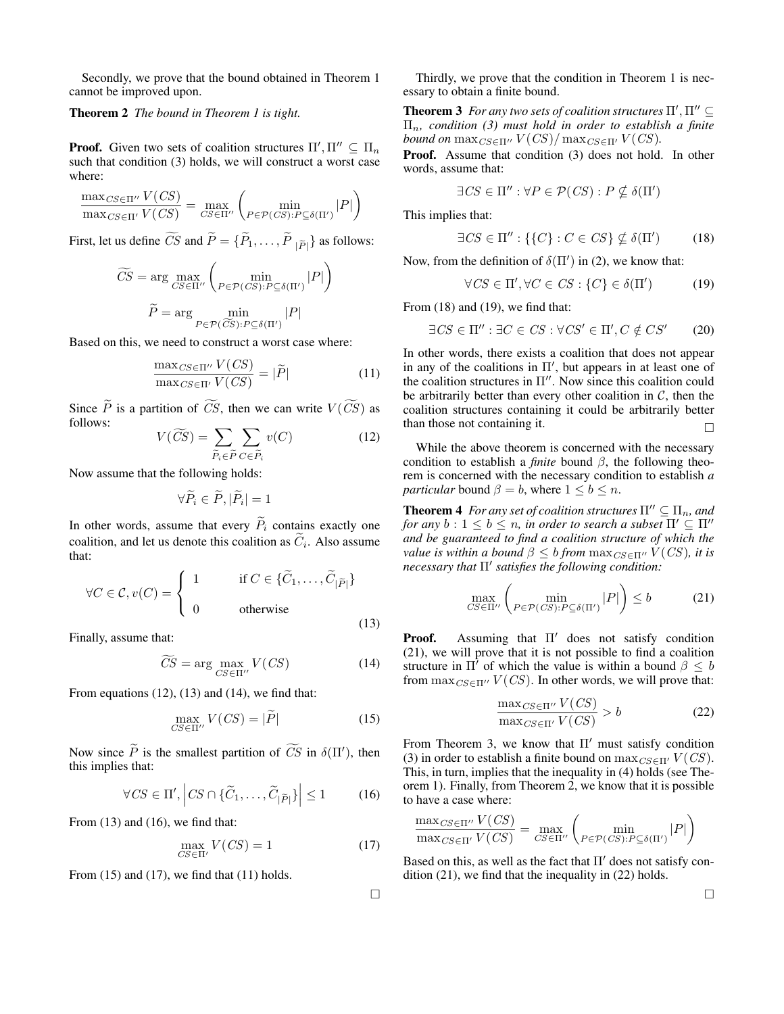Secondly, we prove that the bound obtained in Theorem 1 cannot be improved upon.

### Theorem 2 *The bound in Theorem 1 is tight.*

**Proof.** Given two sets of coalition structures  $\Pi', \Pi'' \subseteq \Pi_n$ such that condition (3) holds, we will construct a worst case where:

$$
\frac{\max_{CS \in \Pi'} V(CS)}{\max_{CS \in \Pi'} V(CS)} = \max_{CS \in \Pi''} \left( \min_{P \in \mathcal{P}(CS): P \subseteq \delta(\Pi')} |P| \right)
$$

First, let us define *CS* and  $P = \{P_1, \ldots, P_{|\tilde{P}|}\}\$  as follows:

$$
\widetilde{CS} = \arg \max_{CS \in \Pi''} \left( \min_{P \in \mathcal{P}(CS): P \subseteq \delta(\Pi')} |P| \right)
$$

$$
\widetilde{P} = \arg \min_{P \in \mathcal{P}(\widetilde{CS}): P \subseteq \delta(\Pi')} |P|
$$

Based on this, we need to construct a worst case where:

$$
\frac{\max_{CS \in \Pi'} V(CS)}{\max_{CS \in \Pi'} V(CS)} = |\tilde{P}| \tag{11}
$$

Since  $\widetilde{P}$  is a partition of  $\widetilde{CS}$ , then we can write  $V(\widetilde{CS})$  as follows:

$$
V(\widetilde{CS}) = \sum_{\widetilde{P}_i \in \widetilde{P}} \sum_{C \in \widetilde{P}_i} v(C) \tag{12}
$$

Now assume that the following holds:

$$
\forall \widetilde{P}_i \in \widetilde{P}, |\widetilde{P}_i| = 1
$$

In other words, assume that every  $\widetilde{P}_i$  contains exactly one coalition, and let us denote this coalition as  $C_i$ . Also assume that:

$$
\forall C \in \mathcal{C}, v(C) = \begin{cases} 1 & \text{if } C \in \{\widetilde{C}_1, \dots, \widetilde{C}_{|\widetilde{P}|}\} \\ 0 & \text{otherwise} \end{cases}
$$
(13)

Finally, assume that:

$$
\widetilde{CS} = \arg \max_{CS \in \Pi''} V(CS) \tag{14}
$$

From equations  $(12)$ ,  $(13)$  and  $(14)$ , we find that:

$$
\max_{CS \in \Pi''} V(CS) = |\tilde{P}| \tag{15}
$$

Now since  $\tilde{P}$  is the smallest partition of  $\tilde{CS}$  in  $\delta(\Pi')$ , then this implies that:

$$
\forall CS \in \Pi', \left| CS \cap \{\widetilde{C}_1, \dots, \widetilde{C}_{|\widetilde{P}|}\}\right| \le 1 \tag{16}
$$

From  $(13)$  and  $(16)$ , we find that:

$$
\max_{CS \in \Pi'} V(CS) = 1 \tag{17}
$$

From  $(15)$  and  $(17)$ , we find that  $(11)$  holds.

Thirdly, we prove that the condition in Theorem 1 is necessary to obtain a finite bound.

**Theorem 3** For any two sets of coalition structures  $\Pi', \Pi'' \subseteq$ Πn*, condition (3) must hold in order to establish a finite bound on*  $\max_{CS \in \Pi''} V(CS) / \max_{CS \in \Pi'} V(CS)$ .

Proof. Assume that condition (3) does not hold. In other words, assume that:

$$
\exists CS \in \Pi'': \forall P \in \mathcal{P}(CS) : P \nsubseteq \delta(\Pi')
$$

This implies that:

$$
\exists CS \in \Pi'': \{\{C\} : C \in CS\} \nsubseteq \delta(\Pi') \tag{18}
$$

Now, from the definition of  $\delta(\Pi')$  in (2), we know that:

$$
\forall CS \in \Pi', \forall C \in CS : \{C\} \in \delta(\Pi') \tag{19}
$$

From  $(18)$  and  $(19)$ , we find that:

$$
\exists CS \in \Pi'': \exists C \in CS : \forall CS' \in \Pi', C \notin CS'
$$
 (20)

In other words, there exists a coalition that does not appear in any of the coalitions in  $\Pi'$ , but appears in at least one of the coalition structures in  $\Pi''$ . Now since this coalition could be arbitrarily better than every other coalition in  $C$ , then the coalition structures containing it could be arbitrarily better than those not containing it.  $\Box$ 

While the above theorem is concerned with the necessary condition to establish a *finite* bound  $\beta$ , the following theorem is concerned with the necessary condition to establish *a particular* bound  $\beta = b$ , where  $1 \leq b \leq n$ .

**Theorem 4** *For any set of coalition structures*  $\Pi'' \subseteq \Pi_n$ *, and for any*  $b: 1 \leq b \leq n$ *, in order to search a subset*  $\Pi' \subseteq \Pi''$ *and be guaranteed to find a coalition structure of which the value is within a bound*  $\beta \leq b$  *from*  $\max_{CS \in \Pi''} V(CS)$ *, it is necessary that*  $\Pi'$  *satisfies the following condition:* 

$$
\max_{CS \in \Pi''} \left( \min_{P \in \mathcal{P}(CS): P \subseteq \delta(\Pi')} |P| \right) \le b \tag{21}
$$

**Proof.** Assuming that  $\Pi'$  does not satisfy condition (21), we will prove that it is not possible to find a coalition structure in  $\Pi'$  of which the value is within a bound  $\beta \leq b$ from  $\max_{CS \in \Pi''} V(CS)$ . In other words, we will prove that:

$$
\frac{\max_{CS \in \Pi''} V(CS)}{\max_{CS \in \Pi'} V(CS)} > b \tag{22}
$$

From Theorem 3, we know that  $\Pi'$  must satisfy condition (3) in order to establish a finite bound on  $\max_{CS \in \Pi'} V(CS)$ . This, in turn, implies that the inequality in (4) holds (see Theorem 1). Finally, from Theorem 2, we know that it is possible to have a case where:

$$
\frac{\max_{CS \in \Pi''} V(CS)}{\max_{CS \in \Pi'} V(CS)} = \max_{CS \in \Pi''} \left( \min_{P \in \mathcal{P}(CS): P \subseteq \delta(\Pi')} |P| \right)
$$

Based on this, as well as the fact that  $\Pi'$  does not satisfy condition (21), we find that the inequality in (22) holds.

 $\Box$ 

 $\Box$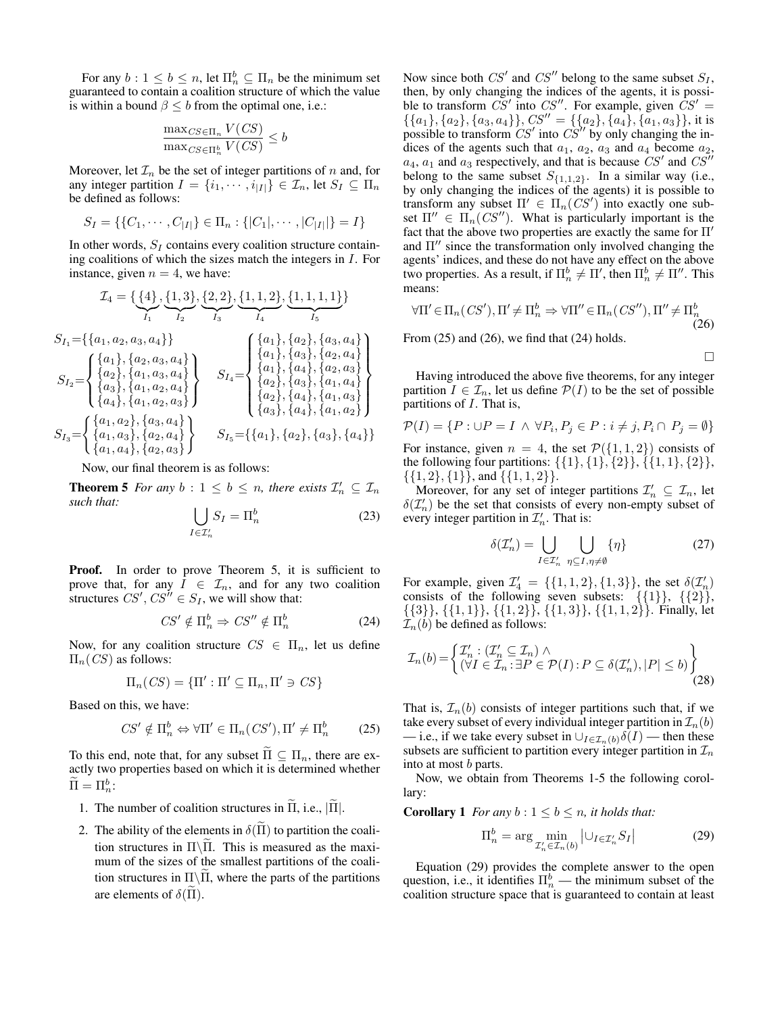For any  $b: 1 \le b \le n$ , let  $\Pi_n^b \subseteq \Pi_n$  be the minimum set guaranteed to contain a coalition structure of which the value is within a bound  $\beta \leq b$  from the optimal one, i.e.:

$$
\frac{\max_{CS \in \Pi_n} V(CS)}{\max_{CS \in \Pi_n^b} V(CS)} \le b
$$

Moreover, let  $\mathcal{I}_n$  be the set of integer partitions of n and, for any integer partition  $I = \{i_1, \dots, i_{|I|}\} \in \mathcal{I}_n$ , let  $S_I \subseteq \Pi_n$ be defined as follows:

$$
S_I = \{ \{C_1, \cdots, C_{|I|} \} \in \Pi_n : \{ |C_1|, \cdots, |C_{|I|} | \} = I \}
$$

In other words,  $S_I$  contains every coalition structure containing coalitions of which the sizes match the integers in I. For instance, given  $n = 4$ , we have:

$$
\mathcal{I}_4 = \{ \{4\}, \{1,3\}, \{2,2\}, \{1,1,2\}, \{1,1,1,1\} \}
$$
\n
$$
S_{I_1} = \{ \{a_1, a_2, a_3, a_4\} \}
$$
\n
$$
S_{I_2} = \{ \{a_1\}, \{a_2, a_3, a_4\} \}
$$
\n
$$
S_{I_3} = \{ \{a_1\}, \{a_1, a_2, a_3\} \}
$$
\n
$$
S_{I_4} = \{ \{a_1\}, \{a_2\}, \{a_3, a_4\} \}
$$
\n
$$
S_{I_5} = \{ \{a_1\}, \{a_1, a_2, a_3\} \}
$$
\n
$$
S_{I_6} = \{ \{a_1\}, \{a_1, a_2, a_3\} \}
$$
\n
$$
S_{I_7} = \{ \{a_1, a_2\}, \{a_1, a_2, a_3\} \}
$$
\n
$$
S_{I_8} = \{ \{a_1, a_3\}, \{a_2, a_4\} \}
$$
\n
$$
S_{I_9} = \{ \{a_1, a_3\}, \{a_2, a_4\} \}
$$
\n
$$
S_{I_1} = \{ \{a_1\}, \{a_1, a_3\} \}
$$
\n
$$
S_{I_2} = \{ \{a_1\}, \{a_1, a_2\} \}
$$
\n
$$
S_{I_4} = \{ \{a_1\}, \{a_1, a_3\} \}
$$
\n
$$
S_{I_5} = \{ \{a_1\}, \{a_2\}, \{a_3\}, \{a_4\} \}
$$
\n
$$
S_{I_6} = \{ \{a_1\}, \{a_2\}, \{a_3\}, \{a_4\} \}
$$

Now, our final theorem is as follows:

**Theorem 5** For any  $b: 1 \leq b \leq n$ , there exists  $\mathcal{I}'_n \subseteq \mathcal{I}_n$ *such that:*

$$
\bigcup_{I \in \mathcal{I}'_n} S_I = \Pi_n^b \tag{23}
$$

**Proof.** In order to prove Theorem 5, it is sufficient to prove that, for any  $I \in \mathcal{I}_n$ , and for any two coalition structures  $CS'$ ,  $CS'' \in S_I$ , we will show that:

$$
CS' \notin \Pi_n^b \Rightarrow CS'' \notin \Pi_n^b \tag{24}
$$

Now, for any coalition structure  $CS \in \Pi_n$ , let us define  $\Pi_n(CS)$  as follows:

$$
\Pi_n(CS) = \{\Pi' : \Pi' \subseteq \Pi_n, \Pi' \ni CS\}
$$

Based on this, we have:

$$
CS' \notin \Pi_n^b \Leftrightarrow \forall \Pi' \in \Pi_n(CS'), \Pi' \neq \Pi_n^b \tag{25}
$$

To this end, note that, for any subset  $\Pi \subseteq \Pi_n$ , there are exactly two properties based on which it is determined whether  $\tilde{\Pi} = \Pi_n^b$ :

- 1. The number of coalition structures in  $\Pi$ , i.e.,  $|\Pi|$ .
- 2. The ability of the elements in  $\delta(\Pi)$  to partition the coalition structures in  $\Pi\backslash\overline\Pi$ . This is measured as the maximum of the sizes of the smallest partitions of the coalition structures in  $\Pi \setminus \Pi$ , where the parts of the partitions are elements of  $\delta(\Pi)$ .

Now since both  $CS'$  and  $CS''$  belong to the same subset  $S_I$ , then, by only changing the indices of the agents, it is possible to transform  $\overrightarrow{CS}$  into  $\overrightarrow{CS}$ . For example, given  $\overrightarrow{CS}'$  =  $\{\{a_1\}, \{a_2\}, \{a_3, a_4\}\}\$ ,  $CS'' = \{\{a_2\}, \{a_4\}, \{a_1, a_3\}\}\$ , it is possible to transform  $CS'$  into  $CS''$  by only changing the indices of the agents such that  $a_1$ ,  $a_2$ ,  $a_3$  and  $a_4$  become  $a_2$ ,  $a_4$ ,  $a_1$  and  $a_3$  respectively, and that is because  $CS'$  and  $CS''$ belong to the same subset  $S_{\{1,1,2\}}$ . In a similar way (i.e., by only changing the indices of the agents) it is possible to transform any subset  $\Pi' \in \Pi_n(CS')$  into exactly one subset  $\Pi'' \in \Pi_n(CS'')$ . What is particularly important is the fact that the above two properties are exactly the same for  $\Pi'$ and  $\Pi$ <sup>*''*</sup> since the transformation only involved changing the agents' indices, and these do not have any effect on the above two properties. As a result, if  $\Pi^b_n \neq \Pi',$  then  $\Pi^b_n \neq \Pi''.$  This means:

$$
\forall \Pi' \in \Pi_n(CS'), \Pi' \neq \Pi_n^b \Rightarrow \forall \Pi'' \in \Pi_n(CS''), \Pi'' \neq \Pi_n^b
$$
\n(26)

From  $(25)$  and  $(26)$ , we find that  $(24)$  holds.

$$
\qquad \qquad \Box
$$

Having introduced the above five theorems, for any integer partition  $I \in \mathcal{I}_n$ , let us define  $\mathcal{P}(I)$  to be the set of possible partitions of  $I$ . That is,

$$
\mathcal{P}(I) = \{ P : \cup P = I \land \forall P_i, P_j \in P : i \neq j, P_i \cap P_j = \emptyset \}
$$

For instance, given  $n = 4$ , the set  $\mathcal{P}(\{1, 1, 2\})$  consists of the following four partitions:  $\{\{1\}, \{1\}, \{2\}\}, \{\{1, 1\}, \{2\}\},\$  $\{\{1,2\},\{1\}\}\$ , and  $\{\{1,1,2\}\}\$ .

Moreover, for any set of integer partitions  $\mathcal{I}'_n \subseteq \mathcal{I}_n$ , let  $\delta(\mathcal{I}'_n)$  be the set that consists of every non-empty subset of every integer partition in  $\mathcal{I}'_n$ . That is:

$$
\delta(\mathcal{I}'_n) = \bigcup_{I \in \mathcal{I}'_n} \bigcup_{\eta \subseteq I, \eta \neq \emptyset} {\eta}
$$
 (27)

For example, given  $\mathcal{I}'_4 = \{ \{1,1,2\}, \{1,3\} \}$ , the set  $\delta(\mathcal{I}'_n)$ consists of the following seven subsets:  $\{\{1\}\}, \{\{2\}\},\$  $\{\{3\}\}, \{\{1, 1\}\}, \{\{1, 2\}\}, \{\{1, 3\}\}, \{\{1, 1, 2\}\}.$  Finally, let  $\mathcal{I}_n(b)$  be defined as follows:

$$
\mathcal{I}_n(b) = \left\{ \begin{aligned} \mathcal{I}'_n &: (\mathcal{I}'_n \subseteq \mathcal{I}_n) \land \\ (\forall I \in \mathcal{I}_n : \exists P \in \mathcal{P}(I) : P \subseteq \delta(\mathcal{I}'_n), |P| \le b) \end{aligned} \right\} \tag{28}
$$

That is,  $\mathcal{I}_n(b)$  consists of integer partitions such that, if we take every subset of every individual integer partition in  $\mathcal{I}_n(b)$ — i.e., if we take every subset in  $\bigcup_{I \in \mathcal{I}_n(b)} \delta(I)$  — then these subsets are sufficient to partition every integer partition in  $\mathcal{I}_n$ into at most b parts.

Now, we obtain from Theorems 1-5 the following corollary:

**Corollary 1** *For any*  $b: 1 \leq b \leq n$ *, it holds that:* 

$$
\Pi_n^b = \arg\min_{\mathcal{I}_n' \in \mathcal{I}_n(b)} |\cup_{I \in \mathcal{I}_n'} S_I| \tag{29}
$$

Equation (29) provides the complete answer to the open question, i.e., it identifies  $\Pi_n^b$  — the minimum subset of the coalition structure space that is guaranteed to contain at least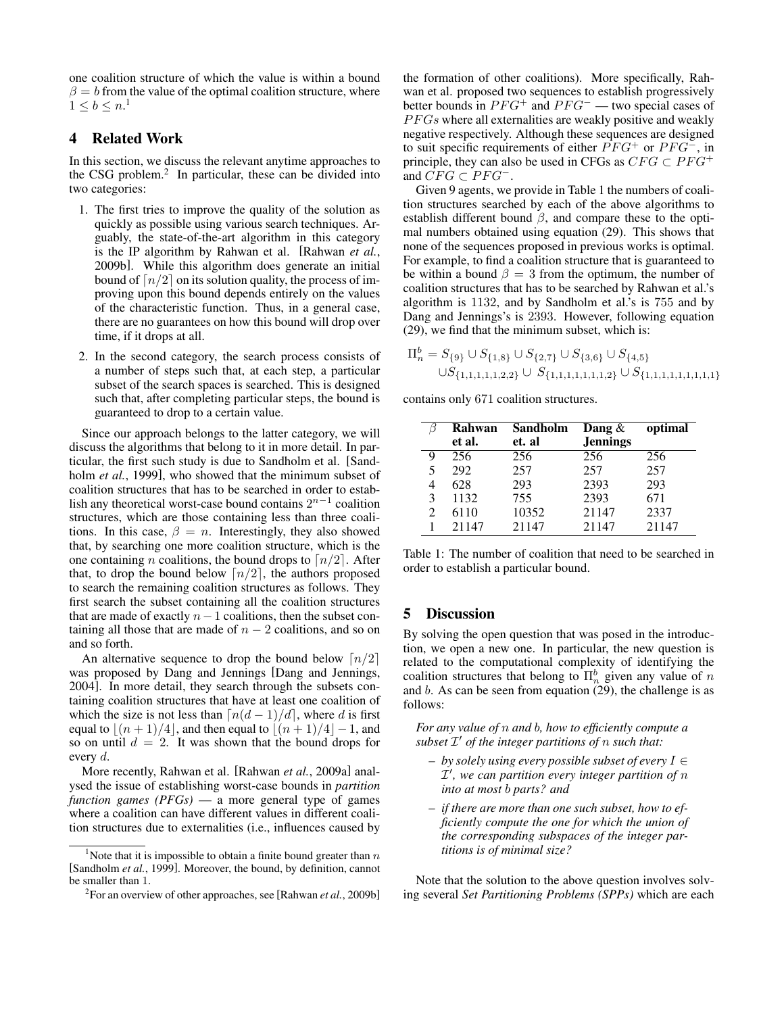one coalition structure of which the value is within a bound  $\beta = b$  from the value of the optimal coalition structure, where  $1 \leq b \leq n.$ <sup>1</sup>

## 4 Related Work

In this section, we discuss the relevant anytime approaches to the CSG problem.<sup>2</sup> In particular, these can be divided into two categories:

- 1. The first tries to improve the quality of the solution as quickly as possible using various search techniques. Arguably, the state-of-the-art algorithm in this category is the IP algorithm by Rahwan et al. [Rahwan *et al.*, 2009b]. While this algorithm does generate an initial bound of  $\lceil n/2 \rceil$  on its solution quality, the process of improving upon this bound depends entirely on the values of the characteristic function. Thus, in a general case, there are no guarantees on how this bound will drop over time, if it drops at all.
- 2. In the second category, the search process consists of a number of steps such that, at each step, a particular subset of the search spaces is searched. This is designed such that, after completing particular steps, the bound is guaranteed to drop to a certain value.

Since our approach belongs to the latter category, we will discuss the algorithms that belong to it in more detail. In particular, the first such study is due to Sandholm et al. [Sandholm *et al.*, 1999], who showed that the minimum subset of coalition structures that has to be searched in order to establish any theoretical worst-case bound contains  $2^{n-1}$  coalition structures, which are those containing less than three coalitions. In this case,  $\beta = n$ . Interestingly, they also showed that, by searching one more coalition structure, which is the one containing *n* coalitions, the bound drops to  $\lceil n/2 \rceil$ . After that, to drop the bound below  $\lceil n/2 \rceil$ , the authors proposed to search the remaining coalition structures as follows. They first search the subset containing all the coalition structures that are made of exactly  $n-1$  coalitions, then the subset containing all those that are made of  $n - 2$  coalitions, and so on and so forth.

An alternative sequence to drop the bound below  $\lceil n/2 \rceil$ was proposed by Dang and Jennings [Dang and Jennings, 2004]. In more detail, they search through the subsets containing coalition structures that have at least one coalition of which the size is not less than  $\lceil n(d - 1)/d \rceil$ , where d is first equal to  $|(n + 1)/4|$ , and then equal to  $|(n + 1)/4|-1$ , and so on until  $d = 2$ . It was shown that the bound drops for every d.

More recently, Rahwan et al. [Rahwan *et al.*, 2009a] analysed the issue of establishing worst-case bounds in *partition function games (PFGs)* — a more general type of games where a coalition can have different values in different coalition structures due to externalities (i.e., influences caused by the formation of other coalitions). More specifically, Rahwan et al. proposed two sequences to establish progressively better bounds in  $PFG^+$  and  $PFG^-$  — two special cases of  $PFGs$  where all externalities are weakly positive and weakly negative respectively. Although these sequences are designed to suit specific requirements of either  $PFG^+$  or  $PFG^-$ , in principle, they can also be used in CFGs as  $CFG \subset PFG^+$ and  $CFG \subset PFG^-$ .

Given 9 agents, we provide in Table 1 the numbers of coalition structures searched by each of the above algorithms to establish different bound  $\beta$ , and compare these to the optimal numbers obtained using equation (29). This shows that none of the sequences proposed in previous works is optimal. For example, to find a coalition structure that is guaranteed to be within a bound  $\beta = 3$  from the optimum, the number of coalition structures that has to be searched by Rahwan et al.'s algorithm is 1132, and by Sandholm et al.'s is 755 and by Dang and Jennings's is 2393. However, following equation (29), we find that the minimum subset, which is:

Πb <sup>n</sup> = S{9} ∪ S{1,8} ∪ S{2,7} ∪ S{3,6} ∪ S{4,5} ∪S{1,1,1,1,1,2,2} ∪ S{1,1,1,1,1,1,1,2} ∪ S{1,1,1,1,1,1,1,1,1}

contains only 671 coalition structures.

|                | Rahwan | Sandholm | Dang $\&$       | optimal |
|----------------|--------|----------|-----------------|---------|
|                | et al. | et. al   | <b>Jennings</b> |         |
| 9              | 256    | 256      | 256             | 256     |
| 5              | 292    | 257      | 257             | 257     |
| 4              | 628    | 293      | 2393            | 293     |
| 3              | 1132   | 755      | 2393            | 671     |
| $\mathfrak{D}$ | 6110   | 10352    | 21147           | 2337    |
|                | 21147  | 21147    | 21147           | 21147   |

Table 1: The number of coalition that need to be searched in order to establish a particular bound.

### 5 Discussion

By solving the open question that was posed in the introduction, we open a new one. In particular, the new question is related to the computational complexity of identifying the coalition structures that belong to  $\Pi_n^b$  given any value of n and b. As can be seen from equation  $(29)$ , the challenge is as follows:

*For any value of* n *and* b*, how to efficiently compute a* subset  $\mathcal{I}'$  of the integer partitions of n such that:

- *by solely using every possible subset of every* I ∈ I 0 *, we can partition every integer partition of* n *into at most* b *parts? and*
- *if there are more than one such subset, how to efficiently compute the one for which the union of the corresponding subspaces of the integer partitions is of minimal size?*

Note that the solution to the above question involves solving several *Set Partitioning Problems (SPPs)* which are each

<sup>&</sup>lt;sup>1</sup>Note that it is impossible to obtain a finite bound greater than  $n$ [Sandholm *et al.*, 1999]. Moreover, the bound, by definition, cannot be smaller than 1.

<sup>2</sup> For an overview of other approaches, see [Rahwan *et al.*, 2009b]